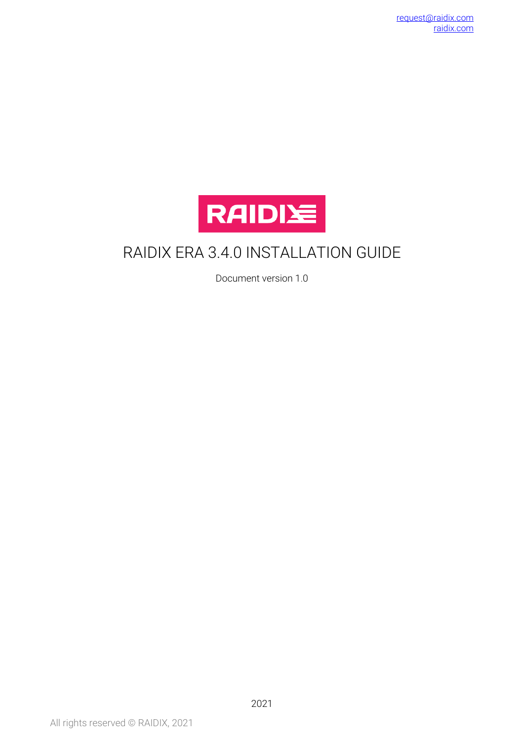

## RAIDIX ERA 3.4.0 INSTALLATION GUIDE

Document version 1.0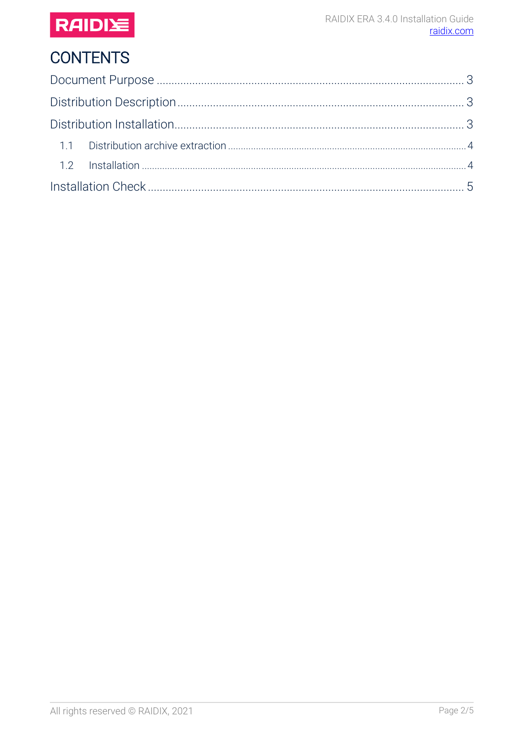

# **CONTENTS**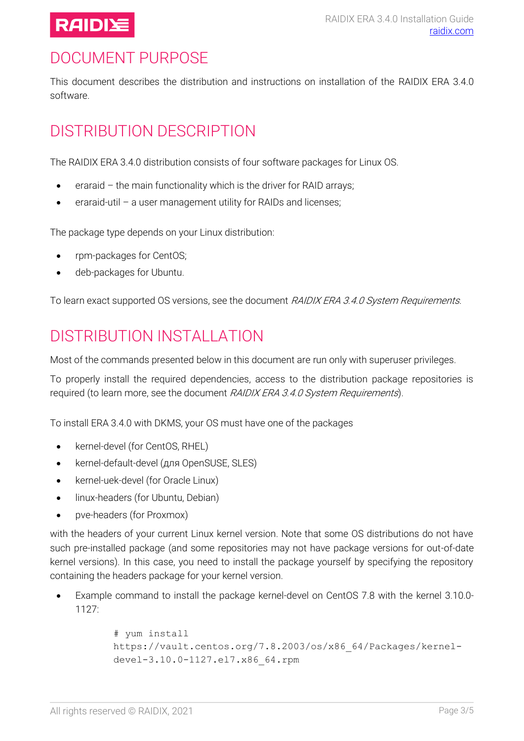

## <span id="page-2-0"></span>DOCUMENT PURPOSE

This document describes the distribution and instructions on installation of the RAIDIX ERA 3.4.0 software.

# <span id="page-2-1"></span>DISTRIBUTION DESCRIPTION

The RAIDIX ERA 3.4.0 distribution consists of four software packages for Linux OS.

- eraraid the main functionality which is the driver for RAID arrays;
- eraraid-util a user management utility for RAIDs and licenses;

The package type depends on your Linux distribution:

- rpm-packages for CentOS;
- deb-packages for Ubuntu.

To learn exact supported OS versions, see the document RAIDIX ERA 3.4.0 System Requirements.

#### <span id="page-2-2"></span>DISTRIBUTION INSTALLATION

Most of the commands presented below in this document are run only with superuser privileges.

To properly install the required dependencies, access to the distribution package repositories is required (to learn more, see the document RAIDIX ERA 3.4.0 System Requirements).

To install ERA 3.4.0 with DKMS, your OS must have one of the packages

- kernel-devel (for CentOS, RHEL)
- kernel-default-devel (для OpenSUSE, SLES)
- kernel-uek-devel (for Oracle Linux)
- linux-headers (for Ubuntu, Debian)
- pve-headers (for Proxmox)

with the headers of your current Linux kernel version. Note that some OS distributions do not have such pre-installed package (and some repositories may not have package versions for out-of-date kernel versions). In this case, you need to install the package yourself by specifying the repository containing the headers package for your kernel version.

• Example command to install the package kernel-devel on CentOS 7.8 with the kernel 3.10.0- 1127:

```
# yum install 
https://vault.centos.org/7.8.2003/os/x86_64/Packages/kernel-
devel-3.10.0-1127.el7.x86_64.rpm
```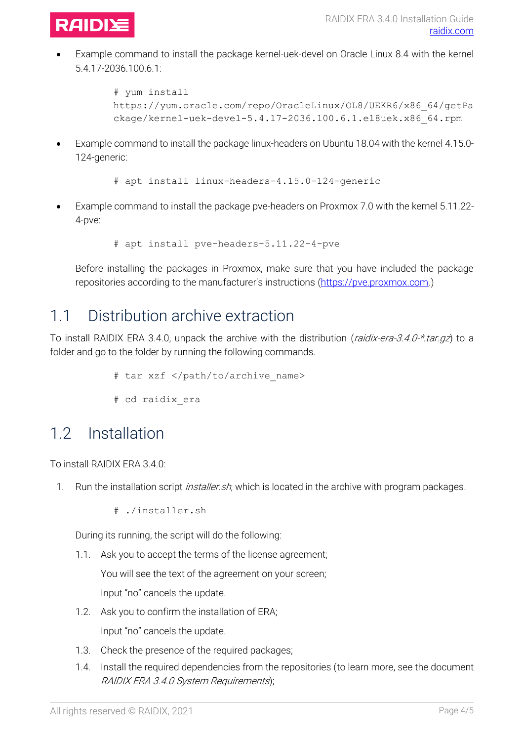

• Example command to install the package kernel-uek-devel on Oracle Linux 8.4 with the kernel 5.4.17-2036.100.6.1:

```
# yum install 
https://yum.oracle.com/repo/OracleLinux/OL8/UEKR6/x86_64/getPa
ckage/kernel-uek-devel-5.4.17-2036.100.6.1.el8uek.x86_64.rpm
```
• Example command to install the package linux-headers on Ubuntu 18.04 with the kernel 4.15.0- 124-generic:

```
# apt install linux-headers-4.15.0-124-generic
```
• Example command to install the package pve-headers on Proxmox 7.0 with the kernel 5.11.22- 4-pve:

# apt install pve-headers-5.11.22-4-pve

Before installing the packages in Proxmox, make sure that you have included the package repositories according to the manufacturer's instructions [\(https://pve.proxmox.com.](https://pve.proxmox.com/wiki/Package_Repositories))

#### <span id="page-3-0"></span>1.1 Distribution archive extraction

To install RAIDIX ERA 3.4.0, unpack the archive with the distribution (raidix-era-3.4.0-\*.tar.gz) to a folder and go to the folder by running the following commands.

- # tar xzf </path/to/archive\_name>
- # cd raidix\_era

#### <span id="page-3-1"></span>1.2 Installation

To install RAIDIX ERA 3.4.0:

- 1. Run the installation script *installer.sh*, which is located in the archive with program packages.
	- # ./installer.sh

During its running, the script will do the following:

1.1. Ask you to accept the terms of the license agreement;

You will see the text of the agreement on your screen; Input "no" cancels the update.

1.2. Ask you to confirm the installation of ERA;

Input "no" cancels the update.

- 1.3. Check the presence of the required packages;
- 1.4. Install the required dependencies from the repositories (to learn more, see the document RAIDIX ERA 3.4.0 System Requirements);